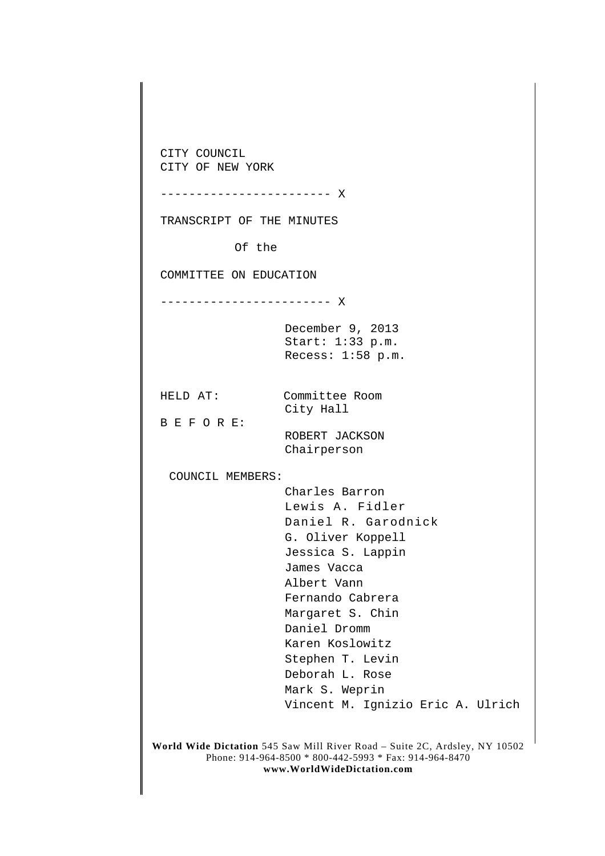**World Wide Dictation** 545 Saw Mill River Road – Suite 2C, Ardsley, NY 10502 Phone: 914-964-8500 \* 800-442-5993 \* Fax: 914-964-8470 **www.WorldWideDictation.com** CITY COUNCIL CITY OF NEW YORK ------------------------ X TRANSCRIPT OF THE MINUTES Of the COMMITTEE ON EDUCATION ------------------------ X December 9, 2013 Start: 1:33 p.m. Recess: 1:58 p.m. HELD AT: Committee Room City Hall B E F O R E: ROBERT JACKSON Chairperson COUNCIL MEMBERS: Charles Barron Lewis A. Fidler Daniel R. Garodnick G. Oliver Koppell Jessica S. Lappin James Vacca Albert Vann Fernando Cabrera Margaret S. Chin Daniel Dromm Karen Koslowitz Stephen T. Levin Deborah L. Rose Mark S. Weprin Vincent M. Ignizio Eric A. Ulrich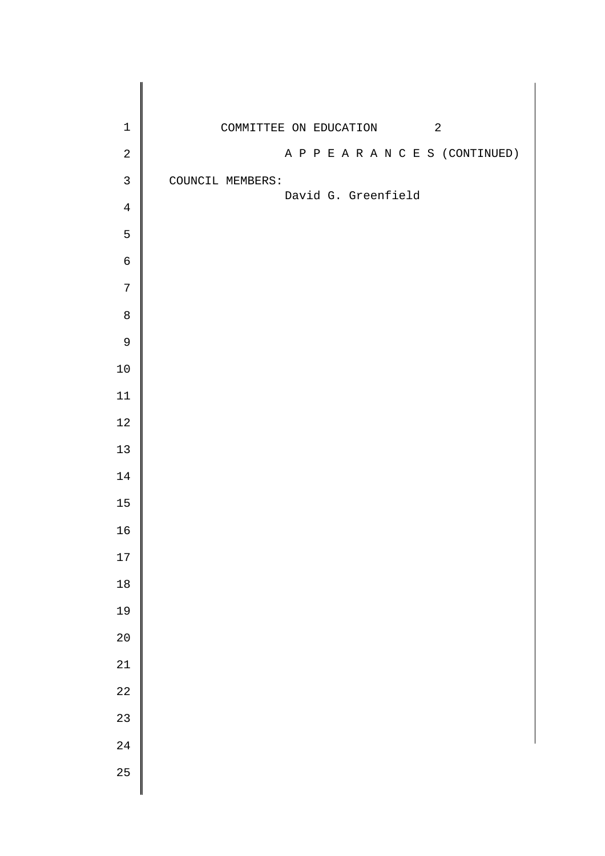| $\mathbf 1$    | COMMITTEE ON EDUCATION 2          |
|----------------|-----------------------------------|
| $\sqrt{2}$     | A P P E A R A N C E S (CONTINUED) |
| $\mathbf{3}$   | COUNCIL MEMBERS:                  |
| $\overline{4}$ | David G. Greenfield               |
| 5              |                                   |
| $\mathsf 6$    |                                   |
| $\sqrt{ }$     |                                   |
| $\,8\,$        |                                   |
| $\mathsf 9$    |                                   |
| $10\,$         |                                   |
| $11\,$         |                                   |
| $1\,2$         |                                   |
| $13$           |                                   |
| $14\,$         |                                   |
| $15\,$         |                                   |
| 16             |                                   |
| 17             |                                   |
| $18\,$         |                                   |
| 19             |                                   |
| $20$           |                                   |
| $2\sqrt{1}$    |                                   |
| 22             |                                   |
| 23             |                                   |
| 24             |                                   |
| 25             |                                   |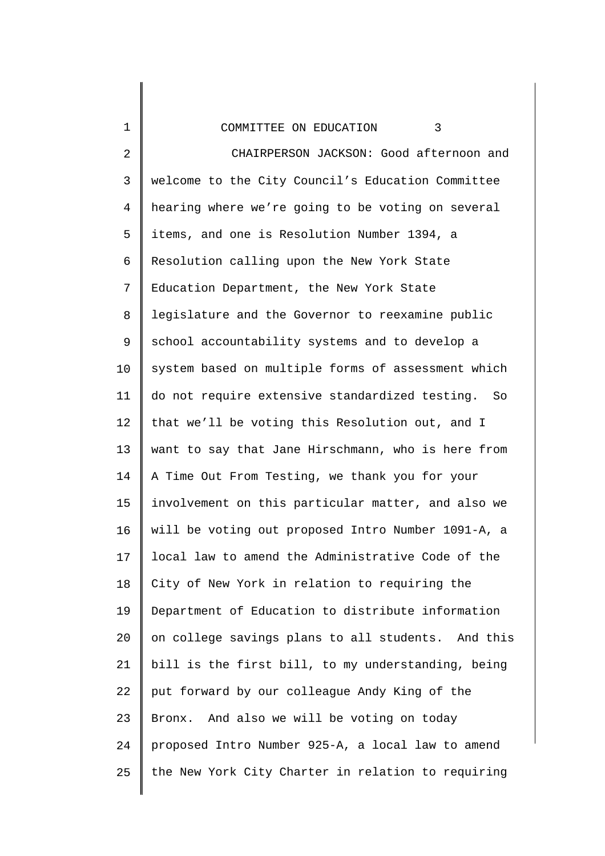## COMMITTEE ON EDUCATION 3

1

2 3 4 5 6 7 8 9 10 11 12 13 14 15 16 17 18 19 20 21 22 23 24 25 CHAIRPERSON JACKSON: Good afternoon and welcome to the City Council's Education Committee hearing where we're going to be voting on several items, and one is Resolution Number 1394, a Resolution calling upon the New York State Education Department, the New York State legislature and the Governor to reexamine public school accountability systems and to develop a system based on multiple forms of assessment which do not require extensive standardized testing. So that we'll be voting this Resolution out, and I want to say that Jane Hirschmann, who is here from A Time Out From Testing, we thank you for your involvement on this particular matter, and also we will be voting out proposed Intro Number 1091-A, a local law to amend the Administrative Code of the City of New York in relation to requiring the Department of Education to distribute information on college savings plans to all students. And this bill is the first bill, to my understanding, being put forward by our colleague Andy King of the Bronx. And also we will be voting on today proposed Intro Number 925-A, a local law to amend the New York City Charter in relation to requiring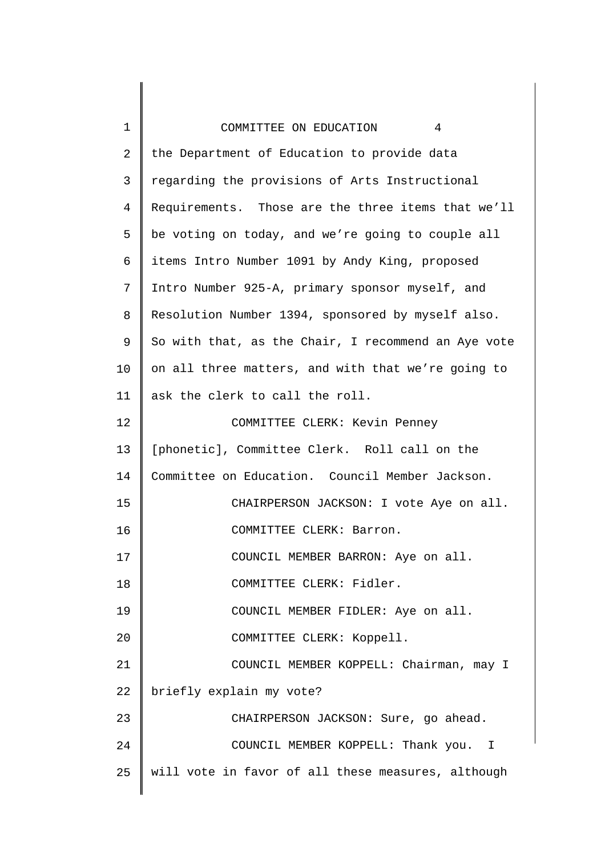| 1              | 4<br>COMMITTEE ON EDUCATION                         |
|----------------|-----------------------------------------------------|
| $\overline{2}$ | the Department of Education to provide data         |
| 3              | regarding the provisions of Arts Instructional      |
| $\overline{4}$ | Requirements. Those are the three items that we'll  |
| 5              | be voting on today, and we're going to couple all   |
| 6              | items Intro Number 1091 by Andy King, proposed      |
| 7              | Intro Number 925-A, primary sponsor myself, and     |
| 8              | Resolution Number 1394, sponsored by myself also.   |
| 9              | So with that, as the Chair, I recommend an Aye vote |
| 10             | on all three matters, and with that we're going to  |
| 11             | ask the clerk to call the roll.                     |
| 12             | COMMITTEE CLERK: Kevin Penney                       |
| 13             | [phonetic], Committee Clerk. Roll call on the       |
| 14             | Committee on Education. Council Member Jackson.     |
| 15             | CHAIRPERSON JACKSON: I vote Aye on all.             |
| 16             | COMMITTEE CLERK: Barron.                            |
| 17             | COUNCIL MEMBER BARRON: Aye on all.                  |
| 18             | COMMITTEE CLERK: Fidler.                            |
| 19             | COUNCIL MEMBER FIDLER: Aye on all.                  |
| 20             | COMMITTEE CLERK: Koppell.                           |
| 21             | COUNCIL MEMBER KOPPELL: Chairman, may I             |
| 22             | briefly explain my vote?                            |
| 23             | CHAIRPERSON JACKSON: Sure, go ahead.                |
| 24             | COUNCIL MEMBER KOPPELL: Thank you. I                |
| 25             | will vote in favor of all these measures, although  |
|                |                                                     |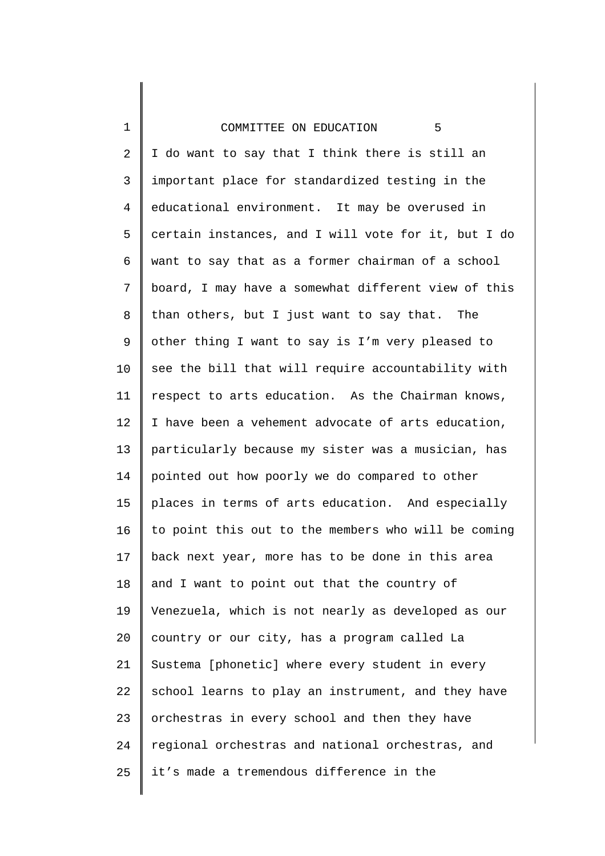| 1              | COMMITTEE ON EDUCATION<br>5                         |
|----------------|-----------------------------------------------------|
| $\overline{2}$ | I do want to say that I think there is still an     |
| 3              | important place for standardized testing in the     |
| $\overline{4}$ | educational environment. It may be overused in      |
| 5              | certain instances, and I will vote for it, but I do |
| 6              | want to say that as a former chairman of a school   |
| 7              | board, I may have a somewhat different view of this |
| 8              | than others, but I just want to say that. The       |
| 9              | other thing I want to say is I'm very pleased to    |
| 10             | see the bill that will require accountability with  |
| 11             | respect to arts education. As the Chairman knows,   |
| 12             | I have been a vehement advocate of arts education,  |
| 13             | particularly because my sister was a musician, has  |
| 14             | pointed out how poorly we do compared to other      |
| 15             | places in terms of arts education. And especially   |
| 16             | to point this out to the members who will be coming |
| 17             | back next year, more has to be done in this area    |
| 18             | and I want to point out that the country of         |
| 19             | Venezuela, which is not nearly as developed as our  |
| 20             | country or our city, has a program called La        |
| 21             | Sustema [phonetic] where every student in every     |
| 22             | school learns to play an instrument, and they have  |
| 23             | orchestras in every school and then they have       |
| 24             | regional orchestras and national orchestras, and    |
| 25             | it's made a tremendous difference in the            |
|                |                                                     |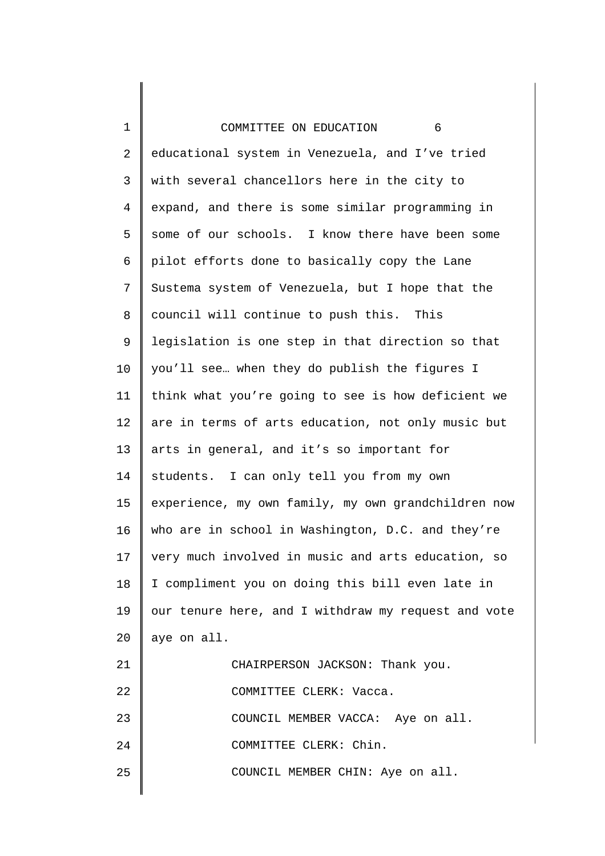| $\mathbf{1}$ | COMMITTEE ON EDUCATION<br>6                         |
|--------------|-----------------------------------------------------|
| 2            | educational system in Venezuela, and I've tried     |
| 3            | with several chancellors here in the city to        |
| 4            | expand, and there is some similar programming in    |
| 5            | some of our schools. I know there have been some    |
| 6            | pilot efforts done to basically copy the Lane       |
| 7            | Sustema system of Venezuela, but I hope that the    |
| 8            | council will continue to push this.<br>This         |
| 9            | legislation is one step in that direction so that   |
| 10           | you'll see when they do publish the figures I       |
| 11           | think what you're going to see is how deficient we  |
| 12           | are in terms of arts education, not only music but  |
| 13           | arts in general, and it's so important for          |
| 14           | students. I can only tell you from my own           |
| 15           | experience, my own family, my own grandchildren now |
| 16           | who are in school in Washington, D.C. and they're   |
| 17           | very much involved in music and arts education, so  |
| 18           | I compliment you on doing this bill even late in    |
| 19           | our tenure here, and I withdraw my request and vote |
| 20           | aye on all.                                         |
| 21           | CHAIRPERSON JACKSON: Thank you.                     |
| 22           | COMMITTEE CLERK: Vacca.                             |
| 23           | COUNCIL MEMBER VACCA: Aye on all.                   |
| 24           | COMMITTEE CLERK: Chin.                              |
| 25           | COUNCIL MEMBER CHIN: Aye on all.                    |
|              |                                                     |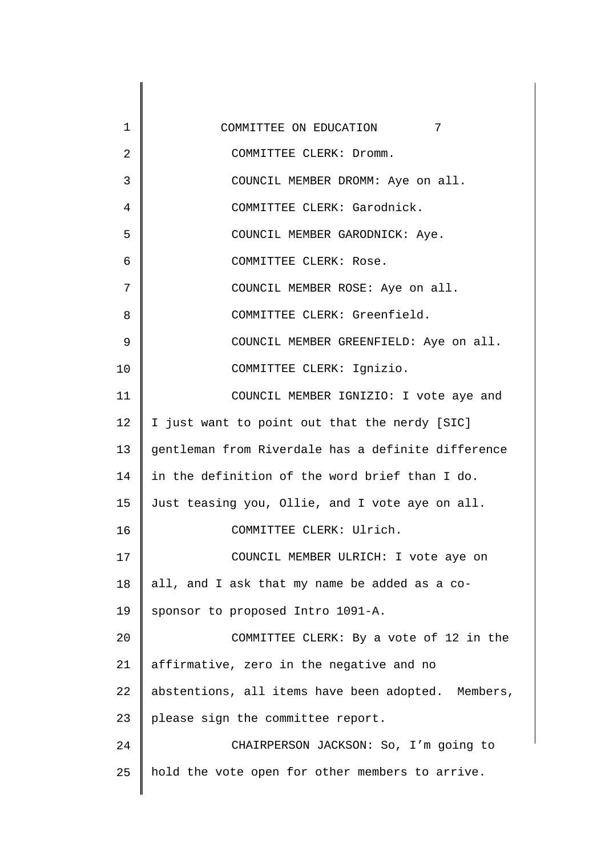1 2 3 4 5 6 7 8 9 10 11 12 13 14 15 16 17 18 19 20 21 22 23 24 25 COMMITTEE ON EDUCATION 7 COMMITTEE CLERK: Dromm. COUNCIL MEMBER DROMM: Aye on all. COMMITTEE CLERK: Garodnick. COUNCIL MEMBER GARODNICK: Aye. COMMITTEE CLERK: Rose. COUNCIL MEMBER ROSE: Aye on all. COMMITTEE CLERK: Greenfield. COUNCIL MEMBER GREENFIELD: Aye on all. COMMITTEE CLERK: Ignizio. COUNCIL MEMBER IGNIZIO: I vote aye and I just want to point out that the nerdy [SIC] gentleman from Riverdale has a definite difference in the definition of the word brief than I do. Just teasing you, Ollie, and I vote aye on all. COMMITTEE CLERK: Ulrich. COUNCIL MEMBER ULRICH: I vote aye on all, and I ask that my name be added as a cosponsor to proposed Intro 1091-A. COMMITTEE CLERK: By a vote of 12 in the affirmative, zero in the negative and no abstentions, all items have been adopted. Members, please sign the committee report. CHAIRPERSON JACKSON: So, I'm going to hold the vote open for other members to arrive.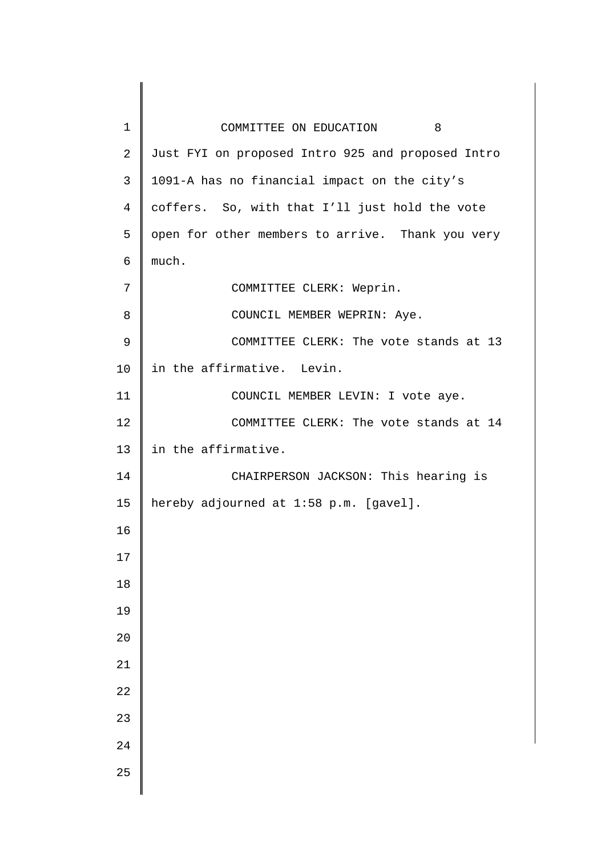| $\mathbf 1$<br>COMMITTEE ON EDUCATION 8                             |  |
|---------------------------------------------------------------------|--|
| $\overline{2}$<br>Just FYI on proposed Intro 925 and proposed Intro |  |
| 3<br>1091-A has no financial impact on the city's                   |  |
| $\overline{4}$<br>coffers. So, with that I'll just hold the vote    |  |
| open for other members to arrive. Thank you very<br>5               |  |
| much.<br>6                                                          |  |
| 7<br>COMMITTEE CLERK: Weprin.                                       |  |
| 8<br>COUNCIL MEMBER WEPRIN: Aye.                                    |  |
| 9<br>COMMITTEE CLERK: The vote stands at 13                         |  |
| 10<br>in the affirmative. Levin.                                    |  |
| 11<br>COUNCIL MEMBER LEVIN: I vote aye.                             |  |
| 12<br>COMMITTEE CLERK: The vote stands at 14                        |  |
| in the affirmative.<br>13                                           |  |
| 14<br>CHAIRPERSON JACKSON: This hearing is                          |  |
| hereby adjourned at 1:58 p.m. [gavel].<br>15                        |  |
| 16                                                                  |  |
| 17                                                                  |  |
| $18\,$                                                              |  |
| 19                                                                  |  |
| 20                                                                  |  |
| 21                                                                  |  |
| 22                                                                  |  |
| 23                                                                  |  |
| 24                                                                  |  |
|                                                                     |  |